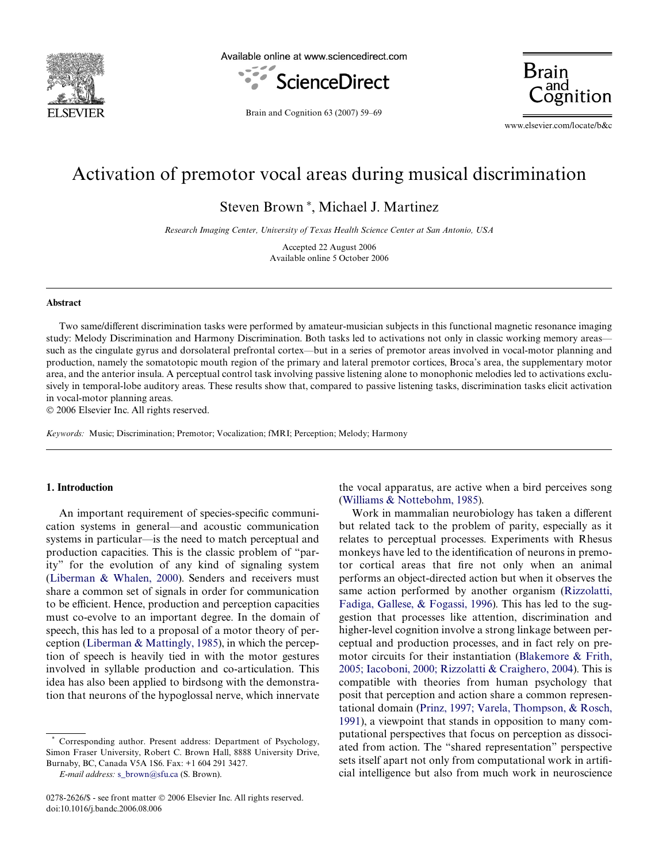

Available online at www.sciencedirect.com





Brain and Cognition 63 (2007) 59–69

www.elsevier.com/locate/b&c

# Activation of premotor vocal areas during musical discrimination

Steven Brown<sup>\*</sup>, Michael J. Martinez

*Research Imaging Center, University of Texas Health Science Center at San Antonio, USA*

Accepted 22 August 2006 Available online 5 October 2006

#### **Abstract**

Two same/different discrimination tasks were performed by amateur-musician subjects in this functional magnetic resonance imaging study: Melody Discrimination and Harmony Discrimination. Both tasks led to activations not only in classic working memory areas such as the cingulate gyrus and dorsolateral prefrontal cortex—but in a series of premotor areas involved in vocal-motor planning and production, namely the somatotopic mouth region of the primary and lateral premotor cortices, Broca's area, the supplementary motor area, and the anterior insula. A perceptual control task involving passive listening alone to monophonic melodies led to activations exclusively in temporal-lobe auditory areas. These results show that, compared to passive listening tasks, discrimination tasks elicit activation in vocal-motor planning areas.

© 2006 Elsevier Inc. All rights reserved.

*Keywords:* Music; Discrimination; Premotor; Vocalization; fMRI; Perception; Melody; Harmony

## **1. Introduction**

An important requirement of species-specific communication systems in general—and acoustic communication systems in particular—is the need to match perceptual and production capacities. This is the classic problem of "parity" for the evolution of any kind of signaling system ([Liberman & Whalen, 2000](#page-9-0)). Senders and receivers must share a common set of signals in order for communication to be efficient. Hence, production and perception capacities must co-evolve to an important degree. In the domain of speech, this has led to a proposal of a motor theory of perception ([Liberman & Mattingly, 1985\)](#page-9-1), in which the perception of speech is heavily tied in with the motor gestures involved in syllable production and co-articulation. This idea has also been applied to birdsong with the demonstration that neurons of the hypoglossal nerve, which innervate

Corresponding author. Present address: Department of Psychology, Simon Fraser University, Robert C. Brown Hall, 8888 University Drive, Burnaby, BC, Canada V5A 1S6. Fax: +1 604 291 3427.

*E-mail address:* [s\\_brown@sfu.ca](mailto: s_brown@sfu.ca) (S. Brown).

the vocal apparatus, are active when a bird perceives song [\(Williams & Nottebohm, 1985](#page-9-2)).

Work in mammalian neurobiology has taken a different but related tack to the problem of parity, especially as it relates to perceptual processes. Experiments with Rhesus monkeys have led to the identification of neurons in premotor cortical areas that fire not only when an animal performs an object-directed action but when it observes the same action performed by another organism [\(Rizzolatti,](#page-9-3) [Fadiga, Gallese, & Fogassi, 1996\)](#page-9-3). This has led to the suggestion that processes like attention, discrimination and higher-level cognition involve a strong linkage between perceptual and production processes, and in fact rely on premotor circuits for their instantiation ([Blakemore & Frith,](#page-8-0) [2005; Iacoboni, 2000; Rizzolatti & Craighero, 2004\)](#page-8-0). This is compatible with theories from human psychology that posit that perception and action share a common representational domain [\(Prinz, 1997; Varela, Thompson, & Rosch,](#page-9-4) [1991\)](#page-9-4), a viewpoint that stands in opposition to many computational perspectives that focus on perception as dissociated from action. The "shared representation" perspective sets itself apart not only from computational work in artificial intelligence but also from much work in neuroscience

<sup>0278-2626/\$ -</sup> see front matter © 2006 Elsevier Inc. All rights reserved. doi:10.1016/j.bandc.2006.08.006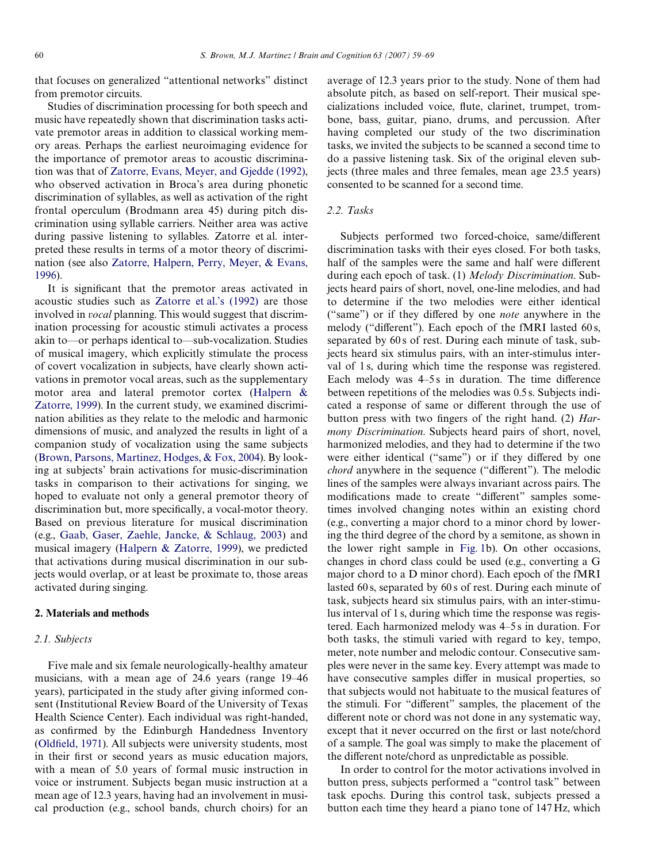that focuses on generalized "attentional networks" distinct from premotor circuits.

Studies of discrimination processing for both speech and music have repeatedly shown that discrimination tasks activate premotor areas in addition to classical working memory areas. Perhaps the earliest neuroimaging evidence for the importance of premotor areas to acoustic discrimination was that of [Zatorre, Evans, Meyer, and Gjedde \(1992\)](#page-10-0), who observed activation in Broca's area during phonetic discrimination of syllables, as well as activation of the right frontal operculum (Brodmann area 45) during pitch discrimination using syllable carriers. Neither area was active during passive listening to syllables. Zatorre et al. interpreted these results in terms of a motor theory of discrimination (see also [Zatorre, Halpern, Perry, Meyer, & Evans,](#page-10-1) [1996\)](#page-10-1).

It is significant that the premotor areas activated in acoustic studies such as [Zatorre et al.'s \(1992\)](#page-10-0) are those involved in *vocal* planning. This would suggest that discrimination processing for acoustic stimuli activates a process akin to—or perhaps identical to—sub-vocalization. Studies of musical imagery, which explicitly stimulate the process of covert vocalization in subjects, have clearly shown activations in premotor vocal areas, such as the supplementary motor area and lateral premotor cortex [\(Halpern &](#page-9-5) [Zatorre, 1999\)](#page-9-5). In the current study, we examined discrimination abilities as they relate to the melodic and harmonic dimensions of music, and analyzed the results in light of a companion study of vocalization using the same subjects [\(Brown, Parsons, Martinez, Hodges, & Fox, 2004](#page-9-6)). By looking at subjects' brain activations for music-discrimination tasks in comparison to their activations for singing, we hoped to evaluate not only a general premotor theory of discrimination but, more specifically, a vocal-motor theory. Based on previous literature for musical discrimination (e.g., [Gaab, Gaser, Zaehle, Jancke, & Schlaug, 2003\)](#page-9-7) and musical imagery ([Halpern & Zatorre, 1999\)](#page-9-5), we predicted that activations during musical discrimination in our subjects would overlap, or at least be proximate to, those areas activated during singing.

## <span id="page-1-0"></span>**2. Materials and methods**

#### *2.1. Subjects*

Five male and six female neurologically-healthy amateur musicians, with a mean age of 24.6 years (range 19–46 years), participated in the study after giving informed consent (Institutional Review Board of the University of Texas Health Science Center). Each individual was right-handed, as confirmed by the Edinburgh Handedness Inventory [\(Old](#page-9-8)fi[eld, 1971](#page-9-8)). All subjects were university students, most in their first or second years as music education majors, with a mean of 5.0 years of formal music instruction in voice or instrument. Subjects began music instruction at a mean age of 12.3 years, having had an involvement in musical production (e.g., school bands, church choirs) for an

average of 12.3 years prior to the study. None of them had absolute pitch, as based on self-report. Their musical specializations included voice, flute, clarinet, trumpet, trombone, bass, guitar, piano, drums, and percussion. After having completed our study of the two discrimination tasks, we invited the subjects to be scanned a second time to do a passive listening task. Six of the original eleven subjects (three males and three females, mean age 23.5 years) consented to be scanned for a second time.

## *2.2. Tasks*

Subjects performed two forced-choice, same/different discrimination tasks with their eyes closed. For both tasks, half of the samples were the same and half were different during each epoch of task. (1) *Melody Discrimination*. Subjects heard pairs of short, novel, one-line melodies, and had to determine if the two melodies were either identical ("same") or if they differed by one *note* anywhere in the melody ("different"). Each epoch of the fMRI lasted  $60 s$ , separated by 60 s of rest. During each minute of task, subjects heard six stimulus pairs, with an inter-stimulus interval of 1 s, during which time the response was registered. Each melody was  $4-5s$  in duration. The time difference between repetitions of the melodies was 0.5 s. Subjects indicated a response of same or different through the use of button press with two fingers of the right hand. (2) *Harmony Discrimination*. Subjects heard pairs of short, novel, harmonized melodies, and they had to determine if the two were either identical ("same") or if they differed by one *chord* anywhere in the sequence ("different"). The melodic lines of the samples were always invariant across pairs. The modifications made to create "different" samples sometimes involved changing notes within an existing chord (e.g., converting a major chord to a minor chord by lowering the third degree of the chord by a semitone, as shown in the lower right sample in [Fig. 1](#page-2-0)b). On other occasions, changes in chord class could be used (e.g., converting a G major chord to a D minor chord). Each epoch of the fMRI lasted 60 s, separated by 60 s of rest. During each minute of task, subjects heard six stimulus pairs, with an inter-stimulus interval of 1 s, during which time the response was registered. Each harmonized melody was 4–5 s in duration. For both tasks, the stimuli varied with regard to key, tempo, meter, note number and melodic contour. Consecutive samples were never in the same key. Every attempt was made to have consecutive samples differ in musical properties, so that subjects would not habituate to the musical features of the stimuli. For "different" samples, the placement of the different note or chord was not done in any systematic way, except that it never occurred on the first or last note/chord of a sample. The goal was simply to make the placement of the different note/chord as unpredictable as possible.

In order to control for the motor activations involved in button press, subjects performed a "control task" between task epochs. During this control task, subjects pressed a button each time they heard a piano tone of 147 Hz, which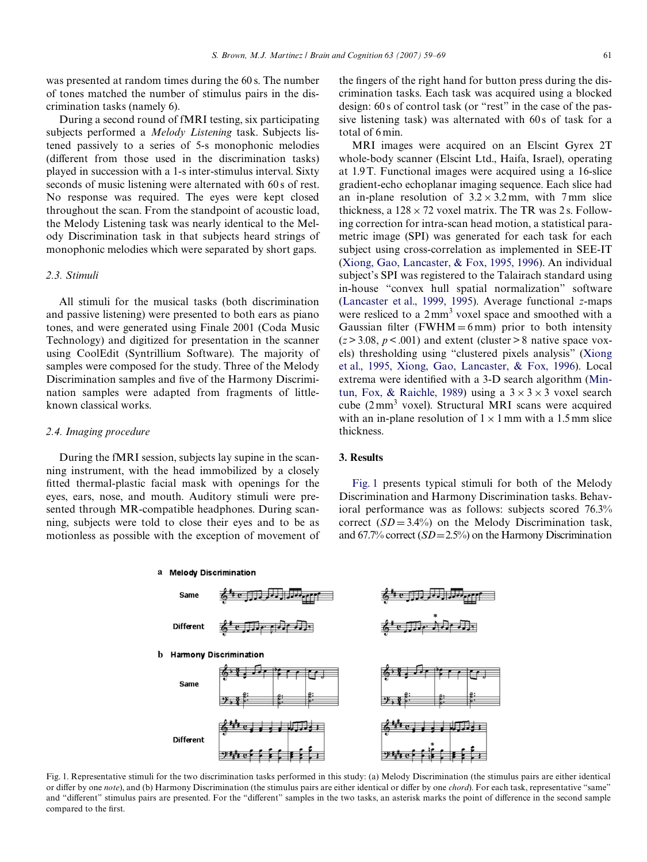was presented at random times during the 60 s. The number of tones matched the number of stimulus pairs in the discrimination tasks (namely 6).

During a second round of fMRI testing, six participating subjects performed a *Melody Listening* task. Subjects listened passively to a series of 5-s monophonic melodies (different from those used in the discrimination tasks) played in succession with a 1-s inter-stimulus interval. Sixty seconds of music listening were alternated with 60 s of rest. No response was required. The eyes were kept closed throughout the scan. From the standpoint of acoustic load, the Melody Listening task was nearly identical to the Melody Discrimination task in that subjects heard strings of monophonic melodies which were separated by short gaps.

## *2.3. Stimuli*

All stimuli for the musical tasks (both discrimination and passive listening) were presented to both ears as piano tones, and were generated using Finale 2001 (Coda Music Technology) and digitized for presentation in the scanner using CoolEdit (Syntrillium Software). The majority of samples were composed for the study. Three of the Melody Discrimination samples and five of the Harmony Discrimination samples were adapted from fragments of littleknown classical works.

#### *2.4. Imaging procedure*

During the fMRI session, subjects lay supine in the scanning instrument, with the head immobilized by a closely fitted thermal-plastic facial mask with openings for the eyes, ears, nose, and mouth. Auditory stimuli were presented through MR-compatible headphones. During scanning, subjects were told to close their eyes and to be as motionless as possible with the exception of movement of the fingers of the right hand for button press during the discrimination tasks. Each task was acquired using a blocked design: 60 s of control task (or "rest" in the case of the passive listening task) was alternated with 60s of task for a total of 6 min.

MRI images were acquired on an Elscint Gyrex 2T whole-body scanner (Elscint Ltd., Haifa, Israel), operating at 1.9 T. Functional images were acquired using a 16-slice gradient-echo echoplanar imaging sequence. Each slice had an in-plane resolution of  $3.2 \times 3.2$  mm, with 7 mm slice thickness, a  $128 \times 72$  voxel matrix. The TR was 2 s. Following correction for intra-scan head motion, a statistical parametric image (SPI) was generated for each task for each subject using cross-correlation as implemented in SEE-IT [\(Xiong, Gao, Lancaster, & Fox, 1995, 1996\)](#page-10-2). An individual subject's SPI was registered to the Talairach standard using in-house "convex hull spatial normalization" software [\(Lancaster et al., 1999, 1995](#page-9-9)). Average functional *z*-maps were resliced to a  $2mm<sup>3</sup>$  voxel space and smoothed with a Gaussian filter (FWHM=6mm) prior to both intensity  $(z > 3.08, p < .001)$  and extent (cluster  $> 8$  native space voxels) thresholding using "clustered pixels analysis" [\(Xiong](#page-10-2) [et al., 1995, Xiong, Gao, Lancaster, & Fox, 1996](#page-10-2)). Local extrema were identified with a 3-D search algorithm [\(Min](#page-9-10)[tun, Fox, & Raichle, 1989](#page-9-10)) using a  $3 \times 3 \times 3$  voxel search cube (2mm<sup>3</sup> voxel). Structural MRI scans were acquired with an in-plane resolution of  $1 \times 1$  mm with a 1.5 mm slice thickness.

## **3. Results**

[Fig. 1](#page-2-0) presents typical stimuli for both of the Melody Discrimination and Harmony Discrimination tasks. Behavioral performance was as follows: subjects scored 76.3% correct  $(SD = 3.4\%)$  on the Melody Discrimination task, and  $67.7\%$  correct  $(SD=2.5\%)$  on the Harmony Discrimination



<span id="page-2-0"></span>Fig. 1. Representative stimuli for the two discrimination tasks performed in this study: (a) Melody Discrimination (the stimulus pairs are either identical or differ by one *note*), and (b) Harmony Discrimination (the stimulus pairs are either identical or differ by one *chord*). For each task, representative "same" and "different" stimulus pairs are presented. For the "different" samples in the two tasks, an asterisk marks the point of difference in the second sample compared to the first.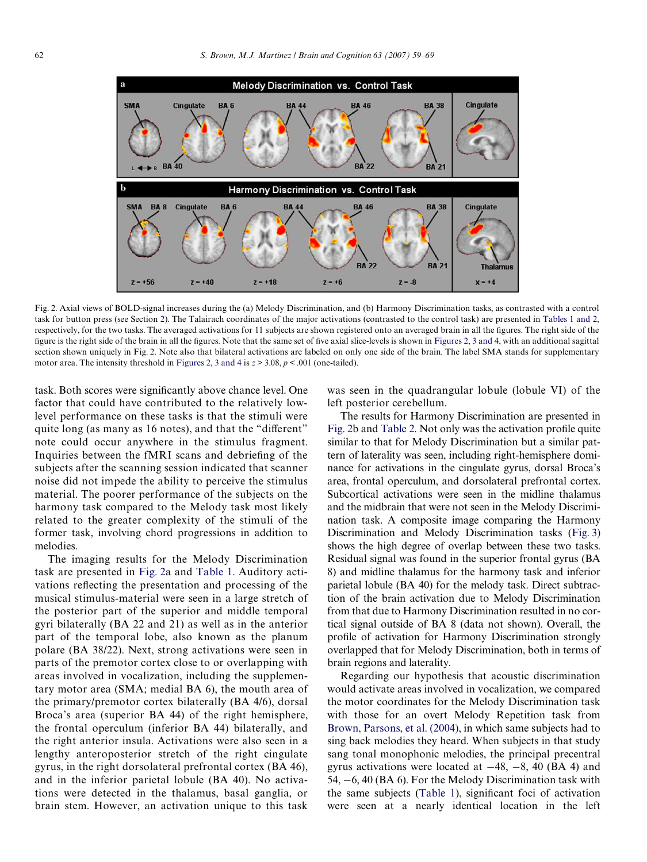

<span id="page-3-0"></span>Fig. 2. Axial views of BOLD-signal increases during the (a) Melody Discrimination, and (b) Harmony Discrimination tasks, as contrasted with a control task for button press (see Section [2\)](#page-1-0). The Talairach coordinates of the major activations (contrasted to the control task) are presented in [Tables 1 and 2,](#page-4-0) respectively, for the two tasks. The averaged activations for 11 subjects are shown registered onto an averaged brain in all the figures. The right side of the figure is the right side of the brain in all the figures. Note that the same set of five axial slice-levels is shown in [Figures 2, 3 and 4](#page-6-0), with an additional sagittal section shown uniquely in Fig. 2. Not[e also that bilatera](#page-6-0)l activations are labeled on only one side of the brain. The label SMA stands for supplementary motor area. The intensity threshold in Figures 2, 3 and 4 is  $z > 3.08$ ,  $p < .001$  (one-tailed).

task. Both scores were significantly above chance level. One factor that could have contributed to the relatively lowlevel performance on these tasks is that the stimuli were quite long (as many as 16 notes), and that the "different" note could occur anywhere in the stimulus fragment. Inquiries between the fMRI scans and debriefing of the subjects after the scanning session indicated that scanner noise did not impede the ability to perceive the stimulus material. The poorer performance of the subjects on the harmony task compared to the Melody task most likely related to the greater complexity of the stimuli of the former task, involving chord progressions in addition to melodies.

The imaging results for the Melody Discrimination task are presented in [Fig. 2a](#page-3-0) and [Table 1](#page-4-0). Auditory activations reflecting the presentation and processing of the musical stimulus-material were seen in a large stretch of the posterior part of the superior and middle temporal gyri bilaterally (BA 22 and 21) as well as in the anterior part of the temporal lobe, also known as the planum polare (BA 38/22). Next, strong activations were seen in parts of the premotor cortex close to or overlapping with areas involved in vocalization, including the supplementary motor area (SMA; medial BA 6), the mouth area of the primary/premotor cortex bilaterally (BA 4/6), dorsal Broca's area (superior BA 44) of the right hemisphere, the frontal operculum (inferior BA 44) bilaterally, and the right anterior insula. Activations were also seen in a lengthy anteroposterior stretch of the right cingulate gyrus, in the right dorsolateral prefrontal cortex (BA 46), and in the inferior parietal lobule (BA 40). No activations were detected in the thalamus, basal ganglia, or brain stem. However, an activation unique to this task

was seen in the quadrangular lobule (lobule VI) of the left posterior cerebellum.

The results for Harmony Discrimination are presented in [Fig. 2b](#page-3-0) and [Table 2](#page-5-0). Not only was the activation profile quite similar to that for Melody Discrimination but a similar pattern of laterality was seen, including right-hemisphere dominance for activations in the cingulate gyrus, dorsal Broca's area, frontal operculum, and dorsolateral prefrontal cortex. Subcortical activations were seen in the midline thalamus and the midbrain that were not seen in the Melody Discrimination task. A composite image comparing the Harmony Discrimination and Melody Discrimination tasks [\(Fig. 3](#page-6-0)) shows the high degree of overlap between these two tasks. Residual signal was found in the superior frontal gyrus (BA 8) and midline thalamus for the harmony task and inferior parietal lobule (BA 40) for the melody task. Direct subtraction of the brain activation due to Melody Discrimination from that due to Harmony Discrimination resulted in no cortical signal outside of BA 8 (data not shown). Overall, the profile of activation for Harmony Discrimination strongly overlapped that for Melody Discrimination, both in terms of brain regions and laterality.

Regarding our hypothesis that acoustic discrimination would activate areas involved in vocalization, we compared the motor coordinates for the Melody Discrimination task with those for an overt Melody Repetition task from [Brown, Parsons, et al. \(2004\)](#page-9-6), in which same subjects had to sing back melodies they heard. When subjects in that study sang tonal monophonic melodies, the principal precentral gyrus activations were located at  $-48$ ,  $-8$ , 40 (BA 4) and 54,  $-6$ , 40 (BA 6). For the Melody Discrimination task with the same subjects ([Table 1](#page-4-0)), significant foci of activation were seen at a nearly identical location in the left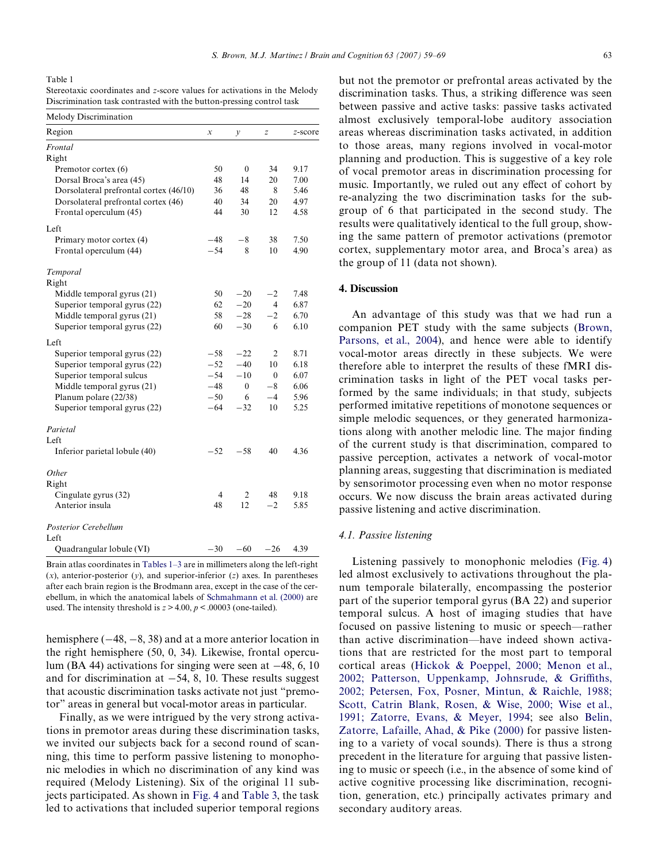<span id="page-4-0"></span>Table 1

| Stereotaxic coordinates and z-score values for activations in the Melody |  |
|--------------------------------------------------------------------------|--|
| Discrimination task contrasted with the button-pressing control task     |  |

| Melody Discrimination                  |                  |                  |                  |         |
|----------------------------------------|------------------|------------------|------------------|---------|
| Region                                 | $\boldsymbol{x}$ | у                | $\boldsymbol{z}$ | z-score |
| Frontal                                |                  |                  |                  |         |
| Right                                  |                  |                  |                  |         |
| Premotor cortex (6)                    | 50               | $\boldsymbol{0}$ | 34               | 9.17    |
| Dorsal Broca's area (45)               | 48               | 14               | 20               | 7.00    |
| Dorsolateral prefrontal cortex (46/10) | 36               | 48               | 8                | 5.46    |
| Dorsolateral prefrontal cortex (46)    | 40               | 34               | 20               | 4.97    |
| Frontal operculum (45)                 | 44               | 30               | 12               | 4.58    |
| Left                                   |                  |                  |                  |         |
| Primary motor cortex (4)               | $-48$            | $-8$             | 38               | 7.50    |
| Frontal operculum (44)                 | $-54$            | 8                | 10               | 4.90    |
| Temporal                               |                  |                  |                  |         |
| Right                                  |                  |                  |                  |         |
| Middle temporal gyrus (21)             | 50               | $-20$            | $-2$             | 7.48    |
| Superior temporal gyrus (22)           | 62               | $-20$            | 4                | 6.87    |
| Middle temporal gyrus (21)             | 58               | $-28$            | $-2$             | 6.70    |
| Superior temporal gyrus (22)           | 60               | $-30$            | 6                | 6.10    |
| Left                                   |                  |                  |                  |         |
| Superior temporal gyrus (22)           | $-58$            | $-22$            | $\overline{2}$   | 8.71    |
| Superior temporal gyrus (22)           | $-52$            | $-40$            | 10               | 6.18    |
| Superior temporal sulcus               | $-54$            | $-10$            | $\theta$         | 6.07    |
| Middle temporal gyrus (21)             | $-48$            | $\mathbf{0}$     | $-8$             | 6.06    |
| Planum polare (22/38)                  | $-50$            | 6                | $-4$             | 5.96    |
| Superior temporal gyrus (22)           | $-64$            | $-32$            | 10               | 5.25    |
| Parietal                               |                  |                  |                  |         |
| Left                                   |                  |                  |                  |         |
| Inferior parietal lobule (40)          | $-52$            | $-58$            | 40               | 4.36    |
| Other                                  |                  |                  |                  |         |
| Right                                  |                  |                  |                  |         |
| Cingulate gyrus (32)                   | 4                | 2                | 48               | 9.18    |
| Anterior insula                        | 48               | 12               | $^{-2}$          | 5.85    |
| Posterior Cerebellum                   |                  |                  |                  |         |
| Left                                   |                  |                  |                  |         |
| Quadrangular lobule (VI)               | $-30$            | $-60$            | $-26$            | 4.39    |

Brain atlas coordinates in [Tables 1–3](#page-4-0) are in millimeters along the left-right  $(x)$ , anterior-posterior  $(y)$ , and superior-inferior  $(z)$  axes. In parentheses after each brain region is the Brodmann area, except in the case of the cerebellum, in which the anatomical labels of [Schmahmann et al. \(2000\)](#page-9-11) are used. The intensity threshold is  $z > 4.00$ ,  $p < .00003$  (one-tailed).

hemisphere  $(-48, -8, 38)$  and at a more anterior location in the right hemisphere (50, 0, 34). Likewise, frontal operculum (BA 44) activations for singing were seen at  $-48$ , 6, 10 and for discrimination at  $-54$ , 8, 10. These results suggest that acoustic discrimination tasks activate not just "premotor" areas in general but vocal-motor areas in particular.

Finally, as we were intrigued by the very strong activations in premotor areas during these discrimination tasks, we invited our subjects back for a second round of scanning, this time to perform passive listening to monophonic melodies in which no discrimination of any kind was required (Melody Listening). Six of the original 11 subjects participated. As shown in [Fig. 4](#page-6-1) and [Table 3](#page-6-2), the task led to activations that included superior temporal regions but not the premotor or prefrontal areas activated by the discrimination tasks. Thus, a striking difference was seen between passive and active tasks: passive tasks activated almost exclusively temporal-lobe auditory association areas whereas discrimination tasks activated, in addition to those areas, many regions involved in vocal-motor planning and production. This is suggestive of a key role of vocal premotor areas in discrimination processing for music. Importantly, we ruled out any effect of cohort by re-analyzing the two discrimination tasks for the subgroup of 6 that participated in the second study. The results were qualitatively identical to the full group, showing the same pattern of premotor activations (premotor cortex, supplementary motor area, and Broca's area) as the group of 11 (data not shown).

## **4. Discussion**

An advantage of this study was that we had run a companion PET study with the same subjects ([Brown,](#page-9-6) [Parsons, et al., 2004\)](#page-9-6), and hence were able to identify vocal-motor areas directly in these subjects. We were therefore able to interpret the results of these fMRI discrimination tasks in light of the PET vocal tasks performed by the same individuals; in that study, subjects performed imitative repetitions of monotone sequences or simple melodic sequences, or they generated harmonizations along with another melodic line. The major finding of the current study is that discrimination, compared to passive perception, activates a network of vocal-motor planning areas, suggesting that discrimination is mediated by sensorimotor processing even when no motor response occurs. We now discuss the brain areas activated during passive listening and active discrimination.

#### *4.1. Passive listening*

Listening passively to monophonic melodies [\(Fig. 4\)](#page-6-1) led almost exclusively to activations throughout the planum temporale bilaterally, encompassing the posterior part of the superior temporal gyrus (BA 22) and superior temporal sulcus. A host of imaging studies that have focused on passive listening to music or speech—rather than active discrimination—have indeed shown activations that are restricted for the most part to temporal cortical areas (Hickok & Poeppel, 2000; Menon et al., 2002; Patterson, Uppenkamp, Johnsrude, & Griffi[ths,](#page-9-12) [2002; Petersen, Fox, Posner, Mintun, & Raichle, 1988;](#page-9-12) Scott, Catrin Blank, Rosen, & Wise, 2000; Wise et al., [1991; Zatorre, Evans, & Meyer, 1994;](#page-9-12) see also [Belin,](#page-8-1) [Zatorre, Lafaille, Ahad, & Pike \(2000\)](#page-8-1) for passive listening to a variety of vocal sounds). There is thus a strong precedent in the literature for arguing that passive listening to music or speech (i.e., in the absence of some kind of active cognitive processing like discrimination, recognition, generation, etc.) principally activates primary and secondary auditory areas.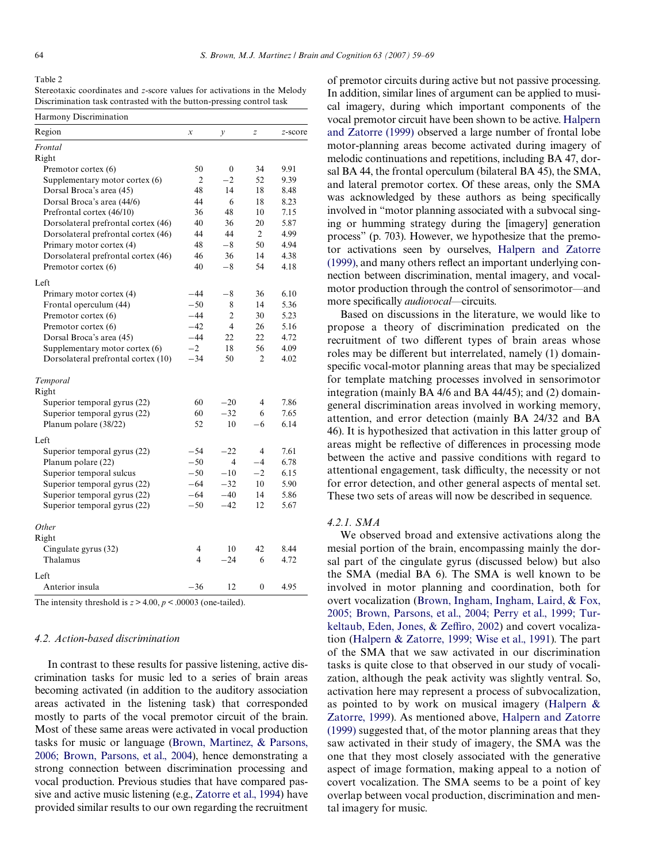#### <span id="page-5-0"></span>Table 2

|                                                                      | Stereotaxic coordinates and z-score values for activations in the Melody |
|----------------------------------------------------------------------|--------------------------------------------------------------------------|
| Discrimination task contrasted with the button-pressing control task |                                                                          |

| Frontal<br>Right<br>50<br>$\mathbf{0}$<br>34<br>9.91<br>Premotor cortex (6)<br>2<br>$^{-2}$<br>52<br>9.39<br>Supplementary motor cortex (6)<br>48<br>14<br>Dorsal Broca's area (45)<br>18<br>8.48<br>Dorsal Broca's area (44/6)<br>44<br>6<br>18<br>8.23<br>36<br>48<br>Prefrontal cortex (46/10)<br>10<br>7.15<br>Dorsolateral prefrontal cortex (46)<br>40<br>36<br>20<br>5.87<br>44<br>44<br>$\overline{2}$<br>4.99<br>Dorsolateral prefrontal cortex (46)<br>48<br>$-8$<br>50<br>4.94<br>Primary motor cortex (4)<br>46<br>36<br>4.38<br>Dorsolateral prefrontal cortex (46)<br>14<br>$-8$<br>40<br>54<br>4.18<br>Premotor cortex (6)<br>$-44$<br>$-8$<br>36<br>6.10<br>Primary motor cortex (4)<br>$-50$<br>5.36<br>Frontal operculum (44)<br>8<br>14<br>$-44$<br>$\overline{2}$<br>5.23<br>Premotor cortex (6)<br>30<br>$-42$<br>$\overline{4}$<br>Premotor cortex (6)<br>26<br>5.16<br>$-44$<br>22<br>Dorsal Broca's area (45)<br>22<br>4.72<br>$-2$<br>18<br>56<br>4.09<br>Supplementary motor cortex (6)<br>$-34$<br>50<br>Dorsolateral prefrontal cortex (10)<br>2<br>4.02<br>Temporal<br>Right<br>60<br>$-20$<br>$\overline{4}$<br>7.86<br>Superior temporal gyrus (22)<br>Superior temporal gyrus (22)<br>60<br>$-32$<br>7.65<br>6<br>52<br>Planum polare (38/22)<br>10<br>6.14<br>$-6$<br>Left<br>$-54$<br>$\overline{4}$<br>7.61<br>Superior temporal gyrus (22)<br>$-22$<br>$-50$<br>6.78<br>Planum polare (22)<br>4<br>$-4$<br>$-50$<br>$-10$<br>6.15<br>Superior temporal sulcus<br>$-2$<br>5.90<br>Superior temporal gyrus (22)<br>$-64$<br>$-32$<br>10<br>Superior temporal gyrus (22)<br>$-64$<br>$-40$<br>5.86<br>14<br>$-50$<br>$-42$<br>Superior temporal gyrus (22)<br>12<br>5.67<br>Other<br>Right<br>Cingulate gyrus (32)<br>$\overline{4}$<br>10<br>42<br>8.44<br>$\overline{\mathcal{L}}$<br>$-24$<br>4.72<br>Thalamus<br>6<br>Left<br>4.95<br>Anterior insula<br>$-36$<br>12<br>$\mathbf{0}$ | Region | $\boldsymbol{\chi}$ | $\mathcal{Y}$ | $\overline{z}$ | z-score |
|---------------------------------------------------------------------------------------------------------------------------------------------------------------------------------------------------------------------------------------------------------------------------------------------------------------------------------------------------------------------------------------------------------------------------------------------------------------------------------------------------------------------------------------------------------------------------------------------------------------------------------------------------------------------------------------------------------------------------------------------------------------------------------------------------------------------------------------------------------------------------------------------------------------------------------------------------------------------------------------------------------------------------------------------------------------------------------------------------------------------------------------------------------------------------------------------------------------------------------------------------------------------------------------------------------------------------------------------------------------------------------------------------------------------------------------------------------------------------------------------------------------------------------------------------------------------------------------------------------------------------------------------------------------------------------------------------------------------------------------------------------------------------------------------------------------------------------------------------------------------------------------------------------------------------|--------|---------------------|---------------|----------------|---------|
|                                                                                                                                                                                                                                                                                                                                                                                                                                                                                                                                                                                                                                                                                                                                                                                                                                                                                                                                                                                                                                                                                                                                                                                                                                                                                                                                                                                                                                                                                                                                                                                                                                                                                                                                                                                                                                                                                                                           |        |                     |               |                |         |
|                                                                                                                                                                                                                                                                                                                                                                                                                                                                                                                                                                                                                                                                                                                                                                                                                                                                                                                                                                                                                                                                                                                                                                                                                                                                                                                                                                                                                                                                                                                                                                                                                                                                                                                                                                                                                                                                                                                           |        |                     |               |                |         |
|                                                                                                                                                                                                                                                                                                                                                                                                                                                                                                                                                                                                                                                                                                                                                                                                                                                                                                                                                                                                                                                                                                                                                                                                                                                                                                                                                                                                                                                                                                                                                                                                                                                                                                                                                                                                                                                                                                                           |        |                     |               |                |         |
|                                                                                                                                                                                                                                                                                                                                                                                                                                                                                                                                                                                                                                                                                                                                                                                                                                                                                                                                                                                                                                                                                                                                                                                                                                                                                                                                                                                                                                                                                                                                                                                                                                                                                                                                                                                                                                                                                                                           |        |                     |               |                |         |
|                                                                                                                                                                                                                                                                                                                                                                                                                                                                                                                                                                                                                                                                                                                                                                                                                                                                                                                                                                                                                                                                                                                                                                                                                                                                                                                                                                                                                                                                                                                                                                                                                                                                                                                                                                                                                                                                                                                           |        |                     |               |                |         |
|                                                                                                                                                                                                                                                                                                                                                                                                                                                                                                                                                                                                                                                                                                                                                                                                                                                                                                                                                                                                                                                                                                                                                                                                                                                                                                                                                                                                                                                                                                                                                                                                                                                                                                                                                                                                                                                                                                                           |        |                     |               |                |         |
|                                                                                                                                                                                                                                                                                                                                                                                                                                                                                                                                                                                                                                                                                                                                                                                                                                                                                                                                                                                                                                                                                                                                                                                                                                                                                                                                                                                                                                                                                                                                                                                                                                                                                                                                                                                                                                                                                                                           |        |                     |               |                |         |
|                                                                                                                                                                                                                                                                                                                                                                                                                                                                                                                                                                                                                                                                                                                                                                                                                                                                                                                                                                                                                                                                                                                                                                                                                                                                                                                                                                                                                                                                                                                                                                                                                                                                                                                                                                                                                                                                                                                           |        |                     |               |                |         |
|                                                                                                                                                                                                                                                                                                                                                                                                                                                                                                                                                                                                                                                                                                                                                                                                                                                                                                                                                                                                                                                                                                                                                                                                                                                                                                                                                                                                                                                                                                                                                                                                                                                                                                                                                                                                                                                                                                                           |        |                     |               |                |         |
|                                                                                                                                                                                                                                                                                                                                                                                                                                                                                                                                                                                                                                                                                                                                                                                                                                                                                                                                                                                                                                                                                                                                                                                                                                                                                                                                                                                                                                                                                                                                                                                                                                                                                                                                                                                                                                                                                                                           |        |                     |               |                |         |
|                                                                                                                                                                                                                                                                                                                                                                                                                                                                                                                                                                                                                                                                                                                                                                                                                                                                                                                                                                                                                                                                                                                                                                                                                                                                                                                                                                                                                                                                                                                                                                                                                                                                                                                                                                                                                                                                                                                           |        |                     |               |                |         |
|                                                                                                                                                                                                                                                                                                                                                                                                                                                                                                                                                                                                                                                                                                                                                                                                                                                                                                                                                                                                                                                                                                                                                                                                                                                                                                                                                                                                                                                                                                                                                                                                                                                                                                                                                                                                                                                                                                                           |        |                     |               |                |         |
|                                                                                                                                                                                                                                                                                                                                                                                                                                                                                                                                                                                                                                                                                                                                                                                                                                                                                                                                                                                                                                                                                                                                                                                                                                                                                                                                                                                                                                                                                                                                                                                                                                                                                                                                                                                                                                                                                                                           | Left   |                     |               |                |         |
|                                                                                                                                                                                                                                                                                                                                                                                                                                                                                                                                                                                                                                                                                                                                                                                                                                                                                                                                                                                                                                                                                                                                                                                                                                                                                                                                                                                                                                                                                                                                                                                                                                                                                                                                                                                                                                                                                                                           |        |                     |               |                |         |
|                                                                                                                                                                                                                                                                                                                                                                                                                                                                                                                                                                                                                                                                                                                                                                                                                                                                                                                                                                                                                                                                                                                                                                                                                                                                                                                                                                                                                                                                                                                                                                                                                                                                                                                                                                                                                                                                                                                           |        |                     |               |                |         |
|                                                                                                                                                                                                                                                                                                                                                                                                                                                                                                                                                                                                                                                                                                                                                                                                                                                                                                                                                                                                                                                                                                                                                                                                                                                                                                                                                                                                                                                                                                                                                                                                                                                                                                                                                                                                                                                                                                                           |        |                     |               |                |         |
|                                                                                                                                                                                                                                                                                                                                                                                                                                                                                                                                                                                                                                                                                                                                                                                                                                                                                                                                                                                                                                                                                                                                                                                                                                                                                                                                                                                                                                                                                                                                                                                                                                                                                                                                                                                                                                                                                                                           |        |                     |               |                |         |
|                                                                                                                                                                                                                                                                                                                                                                                                                                                                                                                                                                                                                                                                                                                                                                                                                                                                                                                                                                                                                                                                                                                                                                                                                                                                                                                                                                                                                                                                                                                                                                                                                                                                                                                                                                                                                                                                                                                           |        |                     |               |                |         |
|                                                                                                                                                                                                                                                                                                                                                                                                                                                                                                                                                                                                                                                                                                                                                                                                                                                                                                                                                                                                                                                                                                                                                                                                                                                                                                                                                                                                                                                                                                                                                                                                                                                                                                                                                                                                                                                                                                                           |        |                     |               |                |         |
|                                                                                                                                                                                                                                                                                                                                                                                                                                                                                                                                                                                                                                                                                                                                                                                                                                                                                                                                                                                                                                                                                                                                                                                                                                                                                                                                                                                                                                                                                                                                                                                                                                                                                                                                                                                                                                                                                                                           |        |                     |               |                |         |
|                                                                                                                                                                                                                                                                                                                                                                                                                                                                                                                                                                                                                                                                                                                                                                                                                                                                                                                                                                                                                                                                                                                                                                                                                                                                                                                                                                                                                                                                                                                                                                                                                                                                                                                                                                                                                                                                                                                           |        |                     |               |                |         |
|                                                                                                                                                                                                                                                                                                                                                                                                                                                                                                                                                                                                                                                                                                                                                                                                                                                                                                                                                                                                                                                                                                                                                                                                                                                                                                                                                                                                                                                                                                                                                                                                                                                                                                                                                                                                                                                                                                                           |        |                     |               |                |         |
|                                                                                                                                                                                                                                                                                                                                                                                                                                                                                                                                                                                                                                                                                                                                                                                                                                                                                                                                                                                                                                                                                                                                                                                                                                                                                                                                                                                                                                                                                                                                                                                                                                                                                                                                                                                                                                                                                                                           |        |                     |               |                |         |
|                                                                                                                                                                                                                                                                                                                                                                                                                                                                                                                                                                                                                                                                                                                                                                                                                                                                                                                                                                                                                                                                                                                                                                                                                                                                                                                                                                                                                                                                                                                                                                                                                                                                                                                                                                                                                                                                                                                           |        |                     |               |                |         |
|                                                                                                                                                                                                                                                                                                                                                                                                                                                                                                                                                                                                                                                                                                                                                                                                                                                                                                                                                                                                                                                                                                                                                                                                                                                                                                                                                                                                                                                                                                                                                                                                                                                                                                                                                                                                                                                                                                                           |        |                     |               |                |         |
|                                                                                                                                                                                                                                                                                                                                                                                                                                                                                                                                                                                                                                                                                                                                                                                                                                                                                                                                                                                                                                                                                                                                                                                                                                                                                                                                                                                                                                                                                                                                                                                                                                                                                                                                                                                                                                                                                                                           |        |                     |               |                |         |
|                                                                                                                                                                                                                                                                                                                                                                                                                                                                                                                                                                                                                                                                                                                                                                                                                                                                                                                                                                                                                                                                                                                                                                                                                                                                                                                                                                                                                                                                                                                                                                                                                                                                                                                                                                                                                                                                                                                           |        |                     |               |                |         |
|                                                                                                                                                                                                                                                                                                                                                                                                                                                                                                                                                                                                                                                                                                                                                                                                                                                                                                                                                                                                                                                                                                                                                                                                                                                                                                                                                                                                                                                                                                                                                                                                                                                                                                                                                                                                                                                                                                                           |        |                     |               |                |         |
|                                                                                                                                                                                                                                                                                                                                                                                                                                                                                                                                                                                                                                                                                                                                                                                                                                                                                                                                                                                                                                                                                                                                                                                                                                                                                                                                                                                                                                                                                                                                                                                                                                                                                                                                                                                                                                                                                                                           |        |                     |               |                |         |
|                                                                                                                                                                                                                                                                                                                                                                                                                                                                                                                                                                                                                                                                                                                                                                                                                                                                                                                                                                                                                                                                                                                                                                                                                                                                                                                                                                                                                                                                                                                                                                                                                                                                                                                                                                                                                                                                                                                           |        |                     |               |                |         |
|                                                                                                                                                                                                                                                                                                                                                                                                                                                                                                                                                                                                                                                                                                                                                                                                                                                                                                                                                                                                                                                                                                                                                                                                                                                                                                                                                                                                                                                                                                                                                                                                                                                                                                                                                                                                                                                                                                                           |        |                     |               |                |         |
|                                                                                                                                                                                                                                                                                                                                                                                                                                                                                                                                                                                                                                                                                                                                                                                                                                                                                                                                                                                                                                                                                                                                                                                                                                                                                                                                                                                                                                                                                                                                                                                                                                                                                                                                                                                                                                                                                                                           |        |                     |               |                |         |
|                                                                                                                                                                                                                                                                                                                                                                                                                                                                                                                                                                                                                                                                                                                                                                                                                                                                                                                                                                                                                                                                                                                                                                                                                                                                                                                                                                                                                                                                                                                                                                                                                                                                                                                                                                                                                                                                                                                           |        |                     |               |                |         |
|                                                                                                                                                                                                                                                                                                                                                                                                                                                                                                                                                                                                                                                                                                                                                                                                                                                                                                                                                                                                                                                                                                                                                                                                                                                                                                                                                                                                                                                                                                                                                                                                                                                                                                                                                                                                                                                                                                                           |        |                     |               |                |         |
|                                                                                                                                                                                                                                                                                                                                                                                                                                                                                                                                                                                                                                                                                                                                                                                                                                                                                                                                                                                                                                                                                                                                                                                                                                                                                                                                                                                                                                                                                                                                                                                                                                                                                                                                                                                                                                                                                                                           |        |                     |               |                |         |
|                                                                                                                                                                                                                                                                                                                                                                                                                                                                                                                                                                                                                                                                                                                                                                                                                                                                                                                                                                                                                                                                                                                                                                                                                                                                                                                                                                                                                                                                                                                                                                                                                                                                                                                                                                                                                                                                                                                           |        |                     |               |                |         |
|                                                                                                                                                                                                                                                                                                                                                                                                                                                                                                                                                                                                                                                                                                                                                                                                                                                                                                                                                                                                                                                                                                                                                                                                                                                                                                                                                                                                                                                                                                                                                                                                                                                                                                                                                                                                                                                                                                                           |        |                     |               |                |         |
|                                                                                                                                                                                                                                                                                                                                                                                                                                                                                                                                                                                                                                                                                                                                                                                                                                                                                                                                                                                                                                                                                                                                                                                                                                                                                                                                                                                                                                                                                                                                                                                                                                                                                                                                                                                                                                                                                                                           |        |                     |               |                |         |
|                                                                                                                                                                                                                                                                                                                                                                                                                                                                                                                                                                                                                                                                                                                                                                                                                                                                                                                                                                                                                                                                                                                                                                                                                                                                                                                                                                                                                                                                                                                                                                                                                                                                                                                                                                                                                                                                                                                           |        |                     |               |                |         |

The intensity threshold is  $z > 4.00$ ,  $p < .00003$  (one-tailed).

## *4.2. Action-based discrimination*

In contrast to these results for passive listening, active discrimination tasks for music led to a series of brain areas becoming activated (in addition to the auditory association areas activated in the listening task) that corresponded mostly to parts of the vocal premotor circuit of the brain. Most of these same areas were activated in vocal production tasks for music or language ([Brown, Martinez, & Parsons,](#page-9-13) [2006; Brown, Parsons, et al., 2004\)](#page-9-13), hence demonstrating a strong connection between discrimination processing and vocal production. Previous studies that have compared passive and active music listening (e.g., [Zatorre et al., 1994\)](#page-10-3) have provided similar results to our own regarding the recruitment

of premotor circuits during active but not passive processing. In addition, similar lines of argument can be applied to musical imagery, during which important components of the vocal premotor circuit have been shown to be active. [Halpern](#page-9-5) [and Zatorre \(1999\)](#page-9-5) observed a large number of frontal lobe motor-planning areas become activated during imagery of melodic continuations and repetitions, including BA 47, dorsal BA 44, the frontal operculum (bilateral BA 45), the SMA, and lateral premotor cortex. Of these areas, only the SMA was acknowledged by these authors as being specifically involved in "motor planning associated with a subvocal singing or humming strategy during the [imagery] generation process" (p. 703). However, we hypothesize that the premotor activations seen by ourselves, [Halpern and Zatorre](#page-9-5)  $(1999)$ , and many others reflect an important underlying connection between discrimination, mental imagery, and vocalmotor production through the control of sensorimotor—and more specifically *audiovocal*—circuits.

Based on discussions in the literature, we would like to propose a theory of discrimination predicated on the recruitment of two different types of brain areas whose roles may be different but interrelated, namely (1) domainspecific vocal-motor planning areas that may be specialized for template matching processes involved in sensorimotor integration (mainly BA 4/6 and BA 44/45); and (2) domaingeneral discrimination areas involved in working memory, attention, and error detection (mainly BA 24/32 and BA 46). It is hypothesized that activation in this latter group of areas might be reflective of differences in processing mode between the active and passive conditions with regard to attentional engagement, task difficulty, the necessity or not for error detection, and other general aspects of mental set. These two sets of areas will now be described in sequence.

## *4.2.1. SMA*

We observed broad and extensive activations along the mesial portion of the brain, encompassing mainly the dorsal part of the cingulate gyrus (discussed below) but also the SMA (medial BA 6). The SMA is well known to be involved in motor planning and coordination, both for overt vocalization ([Brown, Ingham, Ingham, Laird, & Fox,](#page-8-2) [2005; Brown, Parsons, et al., 2004; Perry et al., 1999; Tur](#page-8-2)[keltaub, Eden, Jones, & Ze](#page-8-2)ffi[ro, 2002\)](#page-8-2) and covert vocalization ([Halpern & Zatorre, 1999; Wise et al., 1991\)](#page-9-5). The part of the SMA that we saw activated in our discrimination tasks is quite close to that observed in our study of vocalization, although the peak activity was slightly ventral. So, activation here may represent a process of subvocalization, as pointed to by work on musical imagery ([Halpern &](#page-9-5) [Zatorre, 1999](#page-9-5)). As mentioned above, [Halpern and Zatorre](#page-9-5) [\(1999\)](#page-9-5) suggested that, of the motor planning areas that they saw activated in their study of imagery, the SMA was the one that they most closely associated with the generative aspect of image formation, making appeal to a notion of covert vocalization. The SMA seems to be a point of key overlap between vocal production, discrimination and mental imagery for music.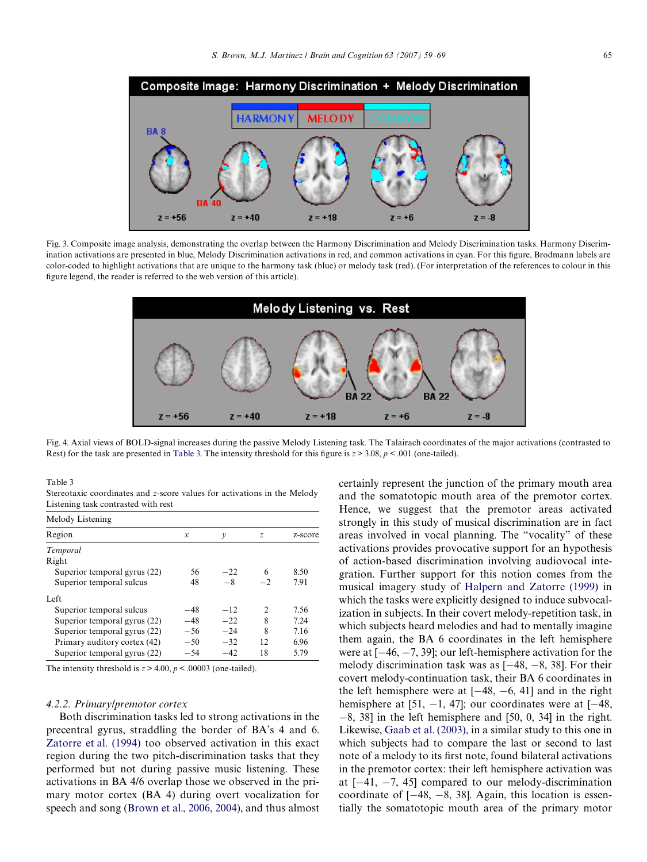

<span id="page-6-0"></span>Fig. 3. Composite image analysis, demonstrating the overlap between the Harmony Discrimination and Melody Discrimination tasks. Harmony Discrimination activations are presented in blue, Melody Discrimination activations in red, and common activations in cyan. For this figure, Brodmann labels are color-coded to highlight activations that are unique to the harmony task (blue) or melody task (red). (For interpretation of the references to colour in this figure legend, the reader is referred to the web version of this article).



<span id="page-6-1"></span>Fig. 4. Axial views of BOLD-sign[al increas](#page-6-2)es during the passive Melody Listening task. The Talairach coordinates of the major activations (contrasted to Rest) for the task are presented in Table 3. The intensity threshold for this figure is  $z > 3.08$ ,  $p < .001$  (one-tailed).

<span id="page-6-2"></span>Table 3

Stereotaxic coordinates and *z*-score values for activations in the Melody Listening task contrasted with rest

| Melody Listening             |               |       |                             |         |
|------------------------------|---------------|-------|-----------------------------|---------|
| Region                       | $\mathcal{X}$ | ν     | $\mathcal{Z}_{\mathcal{Z}}$ | z-score |
| Temporal                     |               |       |                             |         |
| Right                        |               |       |                             |         |
| Superior temporal gyrus (22) | 56            | $-22$ | 6                           | 8.50    |
| Superior temporal sulcus     | 48            | $-8$  | $-2$                        | 7.91    |
| Left                         |               |       |                             |         |
| Superior temporal sulcus     | $-48$         | $-12$ | $\mathcal{D}$               | 7.56    |
| Superior temporal gyrus (22) | $-48$         | $-22$ | 8                           | 7.24    |
| Superior temporal gyrus (22) | $-56$         | $-24$ | 8                           | 7.16    |
| Primary auditory cortex (42) | $-50$         | $-32$ | 12                          | 6.96    |
| Superior temporal gyrus (22) | $-54$         | $-42$ | 18                          | 5.79    |

The intensity threshold is  $z > 4.00$ ,  $p < .00003$  (one-tailed).

#### *4.2.2. Primary/premotor cortex*

Both discrimination tasks led to strong activations in the precentral gyrus, straddling the border of BA's 4 and 6. [Zatorre et al. \(1994\)](#page-10-3) too observed activation in this exact region during the two pitch-discrimination tasks that they performed but not during passive music listening. These activations in BA 4/6 overlap those we observed in the primary motor cortex (BA 4) during overt vocalization for speech and song [\(Brown et al., 2006, 2004](#page-9-13)), and thus almost

certainly represent the junction of the primary mouth area and the somatotopic mouth area of the premotor cortex. Hence, we suggest that the premotor areas activated strongly in this study of musical discrimination are in fact areas involved in vocal planning. The "vocality" of these activations provides provocative support for an hypothesis of action-based discrimination involving audiovocal integration. Further support for this notion comes from the musical imagery study of [Halpern and Zatorre \(1999\)](#page-9-5) in which the tasks were explicitly designed to induce subvocalization in subjects. In their covert melody-repetition task, in which subjects heard melodies and had to mentally imagine them again, the BA 6 coordinates in the left hemisphere were at  $[-46, -7, 39]$ ; our left-hemisphere activation for the melody discrimination task was as  $[-48, -8, 38]$ . For their covert melody-continuation task, their BA 6 coordinates in the left hemisphere were at  $[-48, -6, 41]$  and in the right hemisphere at [51,  $-1$ , 47]; our coordinates were at [ $-48$ ,  $-8$ , 38] in the left hemisphere and [50, 0, 34] in the right. Likewise, [Gaab et al. \(2003\),](#page-9-7) in a similar study to this one in which subjects had to compare the last or second to last note of a melody to its first note, found bilateral activations in the premotor cortex: their left hemisphere activation was at  $[-41, -7, 45]$  compared to our melody-discrimination coordinate of  $[-48, -8, 38]$ . Again, this location is essentially the somatotopic mouth area of the primary motor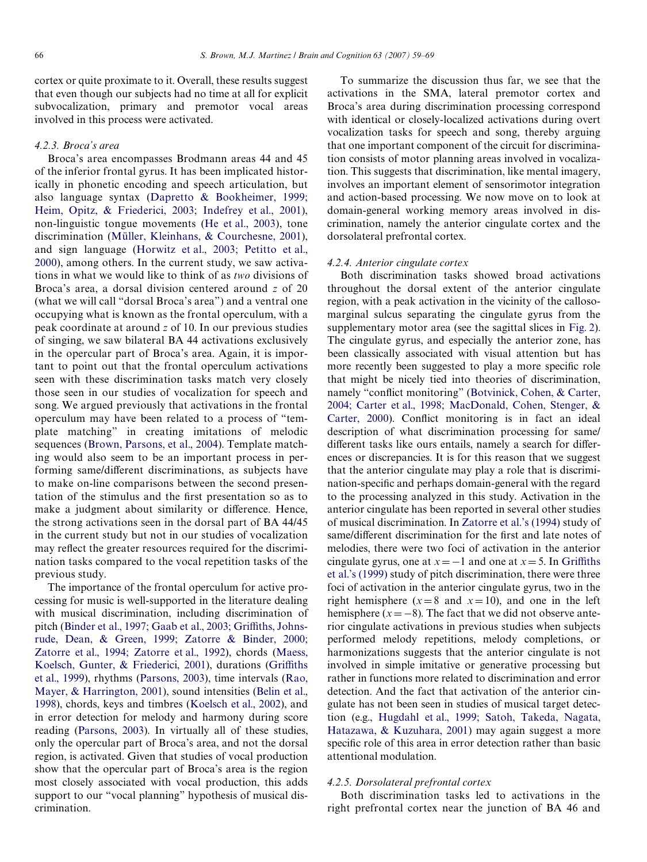cortex or quite proximate to it. Overall, these results suggest that even though our subjects had no time at all for explicit subvocalization, primary and premotor vocal areas involved in this process were activated.

## *4.2.3. Broca's area*

Broca's area encompasses Brodmann areas 44 and 45 of the inferior frontal gyrus. It has been implicated historically in phonetic encoding and speech articulation, but also language syntax [\(Dapretto & Bookheimer, 1999;](#page-9-14) [Heim, Opitz, & Friederici, 2003; Indefrey et al., 2001\)](#page-9-14), non-linguistic tongue movements [\(He et al., 2003\)](#page-9-15), tone discrimination [\(Müller, Kleinhans, & Courchesne, 2001\)](#page-9-16), and sign language ([Horwitz et al., 2003; Petitto et al.,](#page-9-17) [2000](#page-9-17)), among others. In the current study, we saw activations in what we would like to think of as *two* divisions of Broca's area, a dorsal division centered around *z* of 20 (what we will call "dorsal Broca's area") and a ventral one occupying what is known as the frontal operculum, with a peak coordinate at around *z* of 10. In our previous studies of singing, we saw bilateral BA 44 activations exclusively in the opercular part of Broca's area. Again, it is important to point out that the frontal operculum activations seen with these discrimination tasks match very closely those seen in our studies of vocalization for speech and song. We argued previously that activations in the frontal operculum may have been related to a process of "template matching" in creating imitations of melodic sequences ([Brown, Parsons, et al., 2004\)](#page-9-6). Template matching would also seem to be an important process in performing same/different discriminations, as subjects have to make on-line comparisons between the second presentation of the stimulus and the first presentation so as to make a judgment about similarity or difference. Hence, the strong activations seen in the dorsal part of BA 44/45 in the current study but not in our studies of vocalization may reflect the greater resources required for the discrimination tasks compared to the vocal repetition tasks of the previous study.

The importance of the frontal operculum for active processing for music is well-supported in the literature dealing with musical discrimination, including discrimination of pitch ([Binder et al., 1997; Gaab et al., 2003; Gri](#page-8-3)ffi[ths, Johns](#page-8-3)[rude, Dean, & Green, 1999; Zatorre & Binder, 2000;](#page-8-3) [Zatorre et al., 1994; Zatorre et al., 1992](#page-8-3)), chords [\(Maess,](#page-9-18) [Koelsch, Gunter, & Friederici, 2001\)](#page-9-18), durations ([Gri](#page-9-19)ffi[ths](#page-9-19) [et al., 1999\)](#page-9-19), rhythms ([Parsons, 2003](#page-9-20)), time intervals ([Rao,](#page-9-21) [Mayer, & Harrington, 2001\)](#page-9-21), sound intensities [\(Belin et al.,](#page-8-4) [1998\)](#page-8-4), chords, keys and timbres ([Koelsch et al., 2002](#page-9-22)), and in error detection for melody and harmony during score reading ([Parsons, 2003](#page-9-20)). In virtually all of these studies, only the opercular part of Broca's area, and not the dorsal region, is activated. Given that studies of vocal production show that the opercular part of Broca's area is the region most closely associated with vocal production, this adds support to our "vocal planning" hypothesis of musical discrimination.

To summarize the discussion thus far, we see that the activations in the SMA, lateral premotor cortex and Broca's area during discrimination processing correspond with identical or closely-localized activations during overt vocalization tasks for speech and song, thereby arguing that one important component of the circuit for discrimination consists of motor planning areas involved in vocalization. This suggests that discrimination, like mental imagery, involves an important element of sensorimotor integration and action-based processing. We now move on to look at domain-general working memory areas involved in discrimination, namely the anterior cingulate cortex and the dorsolateral prefrontal cortex.

## *4.2.4. Anterior cingulate cortex*

Both discrimination tasks showed broad activations throughout the dorsal extent of the anterior cingulate region, with a peak activation in the vicinity of the callosomarginal sulcus separating the cingulate gyrus from the supplementary motor area (see the sagittal slices in [Fig. 2](#page-3-0)). The cingulate gyrus, and especially the anterior zone, has been classically associated with visual attention but has more recently been suggested to play a more specific role that might be nicely tied into theories of discrimination, namely "conflict monitoring" ([Botvinick, Cohen, & Carter,](#page-8-5) [2004; Carter et al., 1998; MacDonald, Cohen, Stenger, &](#page-8-5) [Carter, 2000\)](#page-8-5). Conflict monitoring is in fact an ideal description of what discrimination processing for same/ different tasks like ours entails, namely a search for differences or discrepancies. It is for this reason that we suggest that the anterior cingulate may play a role that is discrimination-specific and perhaps domain-general with the regard to the processing analyzed in this study. Activation in the anterior cingulate has been reported in several other studies of musical discrimination. In [Zatorre et al.'s \(1994\)](#page-10-3) study of same/different discrimination for the first and late notes of melodies, there were two foci of activation in the anterior cingulate gyrus, one at  $x = -1$  and one at  $x = 5$ . In [Gri](#page-9-19)ffi[ths](#page-9-19) [et al.'s \(1999\)](#page-9-19) study of pitch discrimination, there were three foci of activation in the anterior cingulate gyrus, two in the right hemisphere ( $x=8$  and  $x=10$ ), and one in the left hemisphere  $(x = -8)$ . The fact that we did not observe anterior cingulate activations in previous studies when subjects performed melody repetitions, melody completions, or harmonizations suggests that the anterior cingulate is not involved in simple imitative or generative processing but rather in functions more related to discrimination and error detection. And the fact that activation of the anterior cingulate has not been seen in studies of musical target detection (e.g., [Hugdahl et al., 1999; Satoh, Takeda, Nagata,](#page-9-23) [Hatazawa, & Kuzuhara, 2001](#page-9-23)) may again suggest a more specific role of this area in error detection rather than basic attentional modulation.

## *4.2.5. Dorsolateral prefrontal cortex*

Both discrimination tasks led to activations in the right prefrontal cortex near the junction of BA 46 and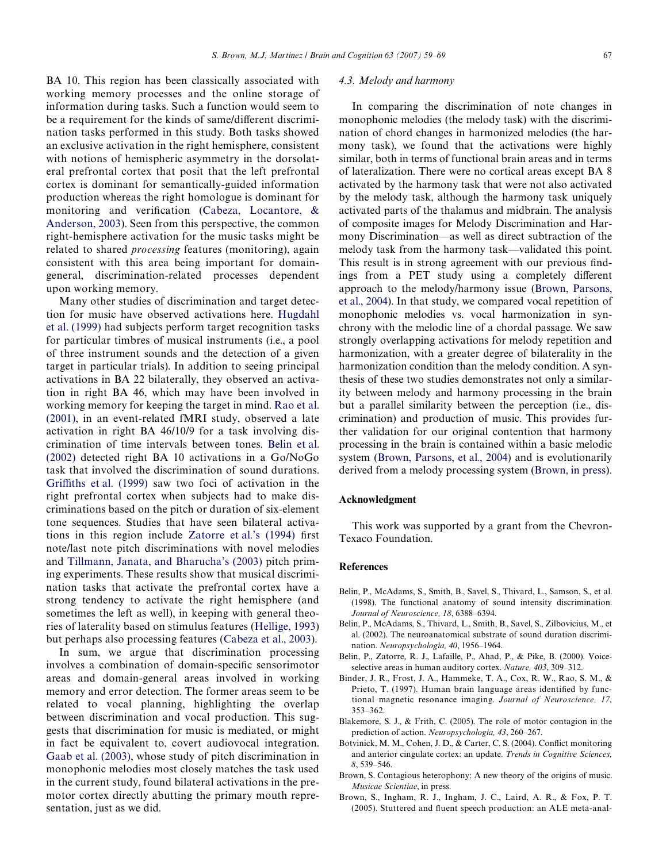BA 10. This region has been classically associated with working memory processes and the online storage of information during tasks. Such a function would seem to be a requirement for the kinds of same/different discrimination tasks performed in this study. Both tasks showed an exclusive activation in the right hemisphere, consistent with notions of hemispheric asymmetry in the dorsolateral prefrontal cortex that posit that the left prefrontal cortex is dominant for semantically-guided information production whereas the right homologue is dominant for monitoring and verification (Cabeza, Locantore,  $\&$ [Anderson, 2003](#page-9-24)). Seen from this perspective, the common right-hemisphere activation for the music tasks might be related to shared *processing* features (monitoring), again consistent with this area being important for domaingeneral, discrimination-related processes dependent upon working memory.

Many other studies of discrimination and target detection for music have observed activations here. [Hugdahl](#page-9-23) [et al. \(1999\)](#page-9-23) had subjects perform target recognition tasks for particular timbres of musical instruments (i.e., a pool of three instrument sounds and the detection of a given target in particular trials). In addition to seeing principal activations in BA 22 bilaterally, they observed an activation in right BA 46, which may have been involved in working memory for keeping the target in mind. [Rao et al.](#page-9-21) [\(2001\),](#page-9-21) in an event-related fMRI study, observed a late activation in right BA 46/10/9 for a task involving discrimination of time intervals between tones. [Belin et al.](#page-8-6) [\(2002\)](#page-8-6) detected right BA 10 activations in a Go/NoGo task that involved the discrimination of sound durations. [Gri](#page-9-19)ffi[ths et al. \(1999\)](#page-9-19) saw two foci of activation in the right prefrontal cortex when subjects had to make discriminations based on the pitch or duration of six-element tone sequences. Studies that have seen bilateral activa-tions in this region include [Zatorre et al.'s \(1994\)](#page-10-3) first note/last note pitch discriminations with novel melodies and [Tillmann, Janata, and Bharucha's \(2003\)](#page-9-25) pitch priming experiments. These results show that musical discrimination tasks that activate the prefrontal cortex have a strong tendency to activate the right hemisphere (and sometimes the left as well), in keeping with general theories of laterality based on stimulus features [\(Hellige, 1993\)](#page-9-26) but perhaps also processing features ([Cabeza et al., 2003](#page-9-24)).

In sum, we argue that discrimination processing involves a combination of domain-specific sensorimotor areas and domain-general areas involved in working memory and error detection. The former areas seem to be related to vocal planning, highlighting the overlap between discrimination and vocal production. This suggests that discrimination for music is mediated, or might in fact be equivalent to, covert audiovocal integration. [Gaab et al. \(2003\)](#page-9-7), whose study of pitch discrimination in monophonic melodies most closely matches the task used in the current study, found bilateral activations in the premotor cortex directly abutting the primary mouth representation, just as we did.

## *4.3. Melody and harmony*

In comparing the discrimination of note changes in monophonic melodies (the melody task) with the discrimination of chord changes in harmonized melodies (the harmony task), we found that the activations were highly similar, both in terms of functional brain areas and in terms of lateralization. There were no cortical areas except BA 8 activated by the harmony task that were not also activated by the melody task, although the harmony task uniquely activated parts of the thalamus and midbrain. The analysis of composite images for Melody Discrimination and Harmony Discrimination—as well as direct subtraction of the melody task from the harmony task—validated this point. This result is in strong agreement with our previous findings from a PET study using a completely different approach to the melody/harmony issue [\(Brown, Parsons,](#page-9-6) [et al., 2004\)](#page-9-6). In that study, we compared vocal repetition of monophonic melodies vs. vocal harmonization in synchrony with the melodic line of a chordal passage. We saw strongly overlapping activations for melody repetition and harmonization, with a greater degree of bilaterality in the harmonization condition than the melody condition. A synthesis of these two studies demonstrates not only a similarity between melody and harmony processing in the brain but a parallel similarity between the perception (i.e., discrimination) and production of music. This provides further validation for our original contention that harmony processing in the brain is contained within a basic melodic system ([Brown, Parsons, et al., 2004](#page-9-6)) and is evolutionarily derived from a melody processing system [\(Brown, in press\)](#page-8-7).

## **Acknowledgment**

This work was supported by a grant from the Chevron-Texaco Foundation.

#### **References**

- <span id="page-8-4"></span>Belin, P., McAdams, S., Smith, B., Savel, S., Thivard, L., Samson, S., et al. (1998). The functional anatomy of sound intensity discrimination. *Journal of Neuroscience, 18*, 6388–6394.
- <span id="page-8-6"></span>Belin, P., McAdams, S., Thivard, L., Smith, B., Savel, S., Zilbovicius, M., et al. (2002). The neuroanatomical substrate of sound duration discrimination. *Neuropsychologia, 40*, 1956–1964.
- <span id="page-8-1"></span>Belin, P., Zatorre, R. J., Lafaille, P., Ahad, P., & Pike, B. (2000). Voiceselective areas in human auditory cortex. *Nature, 403*, 309–312.
- <span id="page-8-3"></span>Binder, J. R., Frost, J. A., Hammeke, T. A., Cox, R. W., Rao, S. M., & Prieto, T. (1997). Human brain language areas identified by functional magnetic resonance imaging. *Journal of Neuroscience, 17*, 353–362.
- <span id="page-8-0"></span>Blakemore, S. J., & Frith, C. (2005). The role of motor contagion in the prediction of action. *Neuropsychologia, 43*, 260–267.
- <span id="page-8-5"></span>Botvinick, M. M., Cohen, J. D., & Carter, C. S. (2004). Conflict monitoring and anterior cingulate cortex: an update. *Trends in Cognitive Sciences, 8*, 539–546.
- <span id="page-8-7"></span>Brown, S. Contagious heterophony: A new theory of the origins of music. *Musicae Scientiae*, in press.
- <span id="page-8-2"></span>Brown, S., Ingham, R. J., Ingham, J. C., Laird, A. R., & Fox, P. T.  $(2005)$ . Stuttered and fluent speech production: an ALE meta-anal-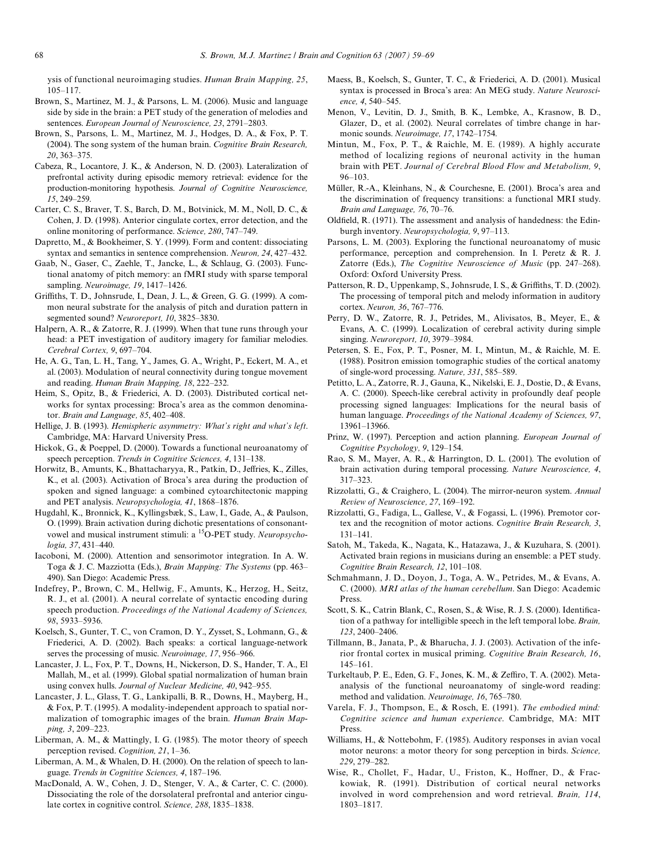ysis of functional neuroimaging studies. *Human Brain Mapping, 25*, 105–117.

- <span id="page-9-13"></span>Brown, S., Martinez, M. J., & Parsons, L. M. (2006). Music and language side by side in the brain: a PET study of the generation of melodies and sentences. *European Journal of Neuroscience, 23*, 2791–2803.
- <span id="page-9-6"></span>Brown, S., Parsons, L. M., Martinez, M. J., Hodges, D. A., & Fox, P. T. (2004). The song system of the human brain. *Cognitive Brain Research, 20*, 363–375.
- <span id="page-9-24"></span>Cabeza, R., Locantore, J. K., & Anderson, N. D. (2003). Lateralization of prefrontal activity during episodic memory retrieval: evidence for the production-monitoring hypothesis. *Journal of Cognitive Neuroscience, 15*, 249–259.
- Carter, C. S., Braver, T. S., Barch, D. M., Botvinick, M. M., Noll, D. C., & Cohen, J. D. (1998). Anterior cingulate cortex, error detection, and the online monitoring of performance. *Science, 280*, 747–749.
- <span id="page-9-14"></span>Dapretto, M., & Bookheimer, S. Y. (1999). Form and content: dissociating syntax and semantics in sentence comprehension. *Neuron, 24*, 427–432.
- <span id="page-9-7"></span>Gaab, N., Gaser, C., Zaehle, T., Jancke, L., & Schlaug, G. (2003). Functional anatomy of pitch memory: an fMRI study with sparse temporal sampling. *Neuroimage, 19*, 1417–1426.
- <span id="page-9-19"></span>Griffiths, T. D., Johnsrude, I., Dean, J. L., & Green, G. G. (1999). A common neural substrate for the analysis of pitch and duration pattern in segmented sound? *Neuroreport, 10*, 3825–3830.
- <span id="page-9-5"></span>Halpern, A. R., & Zatorre, R. J. (1999). When that tune runs through your head: a PET investigation of auditory imagery for familiar melodies. *Cerebral Cortex, 9*, 697–704.
- <span id="page-9-15"></span>He, A. G., Tan, L. H., Tang, Y., James, G. A., Wright, P., Eckert, M. A., et al. (2003). Modulation of neural connectivity during tongue movement and reading. *Human Brain Mapping, 18*, 222–232.
- Heim, S., Opitz, B., & Friederici, A. D. (2003). Distributed cortical networks for syntax processing: Broca's area as the common denominator. *Brain and Language, 85*, 402–408.
- <span id="page-9-26"></span>Hellige, J. B. (1993). *Hemispheric asymmetry: What's right and what's left*. Cambridge, MA: Harvard University Press.
- <span id="page-9-12"></span>Hickok, G., & Poeppel, D. (2000). Towards a functional neuroanatomy of speech perception. *Trends in Cognitive Sciences, 4*, 131–138.
- <span id="page-9-17"></span>Horwitz, B., Amunts, K., Bhattacharyya, R., Patkin, D., Jeffries, K., Zilles, K., et al. (2003). Activation of Broca's area during the production of spoken and signed language: a combined cytoarchitectonic mapping and PET analysis. *Neuropsychologia, 41*, 1868–1876.
- <span id="page-9-23"></span>Hugdahl, K., Bronnick, K., Kyllingsbæk, S., Law, I., Gade, A., & Paulson, O. (1999). Brain activation during dichotic presentations of consonantvowel and musical instrument stimuli: a 15O-PET study. *Neuropsychologia, 37*, 431–440.
- Iacoboni, M. (2000). Attention and sensorimotor integration. In A. W. Toga & J. C. Mazziotta (Eds.), *Brain Mapping: The Systems* (pp. 463– 490). San Diego: Academic Press.
- Indefrey, P., Brown, C. M., Hellwig, F., Amunts, K., Herzog, H., Seitz, R. J., et al. (2001). A neural correlate of syntactic encoding during speech production. *Proceedings of the National Academy of Sciences, 98*, 5933–5936.
- <span id="page-9-22"></span>Koelsch, S., Gunter, T. C., von Cramon, D. Y., Zysset, S., Lohmann, G., & Friederici, A. D. (2002). Bach speaks: a cortical language-network serves the processing of music. *Neuroimage, 17*, 956–966.
- <span id="page-9-9"></span>Lancaster, J. L., Fox, P. T., Downs, H., Nickerson, D. S., Hander, T. A., El Mallah, M., et al. (1999). Global spatial normalization of human brain using convex hulls. *Journal of Nuclear Medicine, 40*, 942–955.
- Lancaster, J. L., Glass, T. G., Lankipalli, B. R., Downs, H., Mayberg, H., & Fox, P. T. (1995). A modality-independent approach to spatial normalization of tomographic images of the brain. *Human Brain Mapping, 3*, 209–223.
- <span id="page-9-1"></span>Liberman, A. M., & Mattingly, I. G. (1985). The motor theory of speech perception revised. *Cognition, 21*, 1–36.
- <span id="page-9-0"></span>Liberman, A. M., & Whalen, D. H. (2000). On the relation of speech to language. *Trends in Cognitive Sciences, 4*, 187–196.
- MacDonald, A. W., Cohen, J. D., Stenger, V. A., & Carter, C. C. (2000). Dissociating the role of the dorsolateral prefrontal and anterior cingulate cortex in cognitive control. *Science, 288*, 1835–1838.
- <span id="page-9-18"></span>Maess, B., Koelsch, S., Gunter, T. C., & Friederici, A. D. (2001). Musical syntax is processed in Broca's area: An MEG study. *Nature Neuroscience, 4*, 540–545.
- Menon, V., Levitin, D. J., Smith, B. K., Lembke, A., Krasnow, B. D., Glazer, D., et al. (2002). Neural correlates of timbre change in harmonic sounds. *Neuroimage, 17*, 1742–1754.
- <span id="page-9-10"></span>Mintun, M., Fox, P. T., & Raichle, M. E. (1989). A highly accurate method of localizing regions of neuronal activity in the human brain with PET. *Journal of Cerebral Blood Flow and Metabolism, 9*, 96–103.
- <span id="page-9-16"></span>Müller, R.-A., Kleinhans, N., & Courchesne, E. (2001). Broca's area and the discrimination of frequency transitions: a functional MRI study. *Brain and Language, 76*, 70–76.
- <span id="page-9-8"></span>Oldfield, R. (1971). The assessment and analysis of handedness: the Edinburgh inventory. *Neuropsychologia, 9*, 97–113.
- <span id="page-9-20"></span>Parsons, L. M. (2003). Exploring the functional neuroanatomy of music performance, perception and comprehension. In I. Peretz & R. J. Zatorre (Eds.), *The Cognitive Neuroscience of Music* (pp. 247–268). Oxford: Oxford University Press.
- Patterson, R. D., Uppenkamp, S., Johnsrude, I. S., & Griffiths, T. D. (2002). The processing of temporal pitch and melody information in auditory cortex. *Neuron, 36*, 767–776.
- Perry, D. W., Zatorre, R. J., Petrides, M., Alivisatos, B., Meyer, E., & Evans, A. C. (1999). Localization of cerebral activity during simple singing. *Neuroreport, 10*, 3979–3984.
- Petersen, S. E., Fox, P. T., Posner, M. I., Mintun, M., & Raichle, M. E. (1988). Positron emission tomographic studies of the cortical anatomy of single-word processing. *Nature, 331*, 585–589.
- Petitto, L. A., Zatorre, R. J., Gauna, K., Nikelski, E. J., Dostie, D., & Evans, A. C. (2000). Speech-like cerebral activity in profoundly deaf people processing signed languages: Implications for the neural basis of human language. *Proceedings of the National Academy of Sciences, 97*, 13961–13966.
- <span id="page-9-4"></span>Prinz, W. (1997). Perception and action planning. *European Journal of Cognitive Psychology, 9*, 129–154.
- <span id="page-9-21"></span>Rao, S. M., Mayer, A. R., & Harrington, D. L. (2001). The evolution of brain activation during temporal processing. *Nature Neuroscience, 4*, 317–323.
- Rizzolatti, G., & Craighero, L. (2004). The mirror-neuron system. *Annual Review of Neuroscience, 27*, 169–192.
- <span id="page-9-3"></span>Rizzolatti, G., Fadiga, L., Gallese, V., & Fogassi, L. (1996). Premotor cortex and the recognition of motor actions. *Cognitive Brain Research, 3*, 131–141.
- Satoh, M., Takeda, K., Nagata, K., Hatazawa, J., & Kuzuhara, S. (2001). Activated brain regions in musicians during an ensemble: a PET study. *Cognitive Brain Research, 12*, 101–108.
- <span id="page-9-11"></span>Schmahmann, J. D., Doyon, J., Toga, A. W., Petrides, M., & Evans, A. C. (2000). *MRI atlas of the human cerebellum*. San Diego: Academic Press.
- Scott, S. K., Catrin Blank, C., Rosen, S., & Wise, R. J. S. (2000). Identification of a pathway for intelligible speech in the left temporal lobe. *Brain, 123*, 2400–2406.
- <span id="page-9-25"></span>Tillmann, B., Janata, P., & Bharucha, J. J. (2003). Activation of the inferior frontal cortex in musical priming. *Cognitive Brain Research, 16*, 145–161.
- Turkeltaub, P. E., Eden, G. F., Jones, K. M., & Zeffiro, T. A. (2002). Metaanalysis of the functional neuroanatomy of single-word reading: method and validation. *Neuroimage, 16*, 765–780.
- Varela, F. J., Thompson, E., & Rosch, E. (1991). *The embodied mind: Cognitive science and human experience*. Cambridge, MA: MIT Press.
- <span id="page-9-2"></span>Williams, H., & Nottebohm, F. (1985). Auditory responses in avian vocal motor neurons: a motor theory for song perception in birds. *Science, 229*, 279–282.
- Wise, R., Chollet, F., Hadar, U., Friston, K., Hoffner, D., & Frackowiak, R. (1991). Distribution of cortical neural networks involved in word comprehension and word retrieval. *Brain, 114*, 1803–1817.